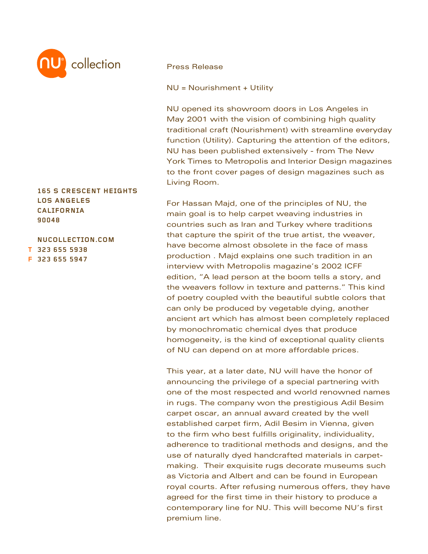

## **165 S CRESCENT HEIGHTS LOS ANGELES CALIFORNIA 90048**

**NUCOLLECTION.COM 323 655 5938 T 323 655 5947 F**

## Press Release

NU = Nourishment + Utility

NU opened its showroom doors in Los Angeles in May 2001 with the vision of combining high quality traditional craft (Nourishment) with streamline everyday function (Utility). Capturing the attention of the editors, NU has been published extensively - from The New York Times to Metropolis and Interior Design magazines to the front cover pages of design magazines such as Living Room.

For Hassan Majd, one of the principles of NU, the main goal is to help carpet weaving industries in countries such as Iran and Turkey where traditions that capture the spirit of the true artist, the weaver, have become almost obsolete in the face of mass production . Majd explains one such tradition in an interview with Metropolis magazine's 2002 ICFF edition, "A lead person at the boom tells a story, and the weavers follow in texture and patterns." This kind of poetry coupled with the beautiful subtle colors that can only be produced by vegetable dying, another ancient art which has almost been completely replaced by monochromatic chemical dyes that produce homogeneity, is the kind of exceptional quality clients of NU can depend on at more affordable prices.

This year, at a later date, NU will have the honor of announcing the privilege of a special partnering with one of the most respected and world renowned names in rugs. The company won the prestigious Adil Besim carpet oscar, an annual award created by the well established carpet firm, Adil Besim in Vienna, given to the firm who best fulfills originality, individuality, adherence to traditional methods and designs, and the use of naturally dyed handcrafted materials in carpetmaking. Their exquisite rugs decorate museums such as Victoria and Albert and can be found in European royal courts. After refusing numerous offers, they have agreed for the first time in their history to produce a contemporary line for NU. This will become NU's first premium line.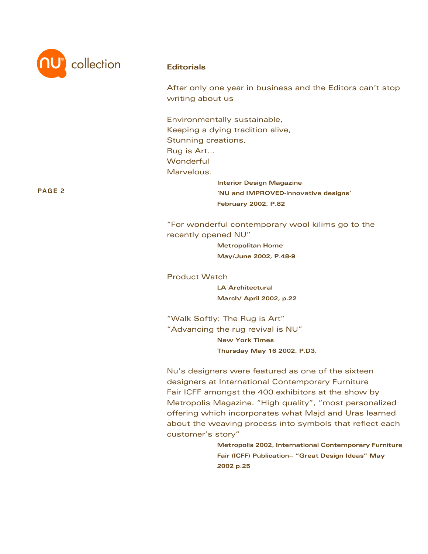

After only one year in business and the Editors can't stop writing about us

Environmentally sustainable, Keeping a dying tradition alive, Stunning creations, Rug is Art... **Wonderful** Marvelous. **Interior Design Magazine**

**'NU and IMPROVED-innovative designs' February 2002, P.82**

"For wonderful contemporary wool kilims go to the recently opened NU"

> **Metropolitan Home May/June 2002, P.48-9**

Product Watch **LA Architectural March/ April 2002, p.22** 

"Walk Softly: The Rug is Art" "Advancing the rug revival is NU" **New York Times Thursday May 16 2002, P.D3,** 

Nu's designers were featured as one of the sixteen designers at International Contemporary Furniture Fair ICFF amongst the 400 exhibitors at the show by Metropolis Magazine. "High quality", "most personalized offering which incorporates what Majd and Uras learned about the weaving process into symbols that reflect each customer's story"

> **Metropolis 2002, International Contemporary Furniture Fair (ICFF) Publication-- "Great Design Ideas" May 2002 p.25**

**PAGE 2**